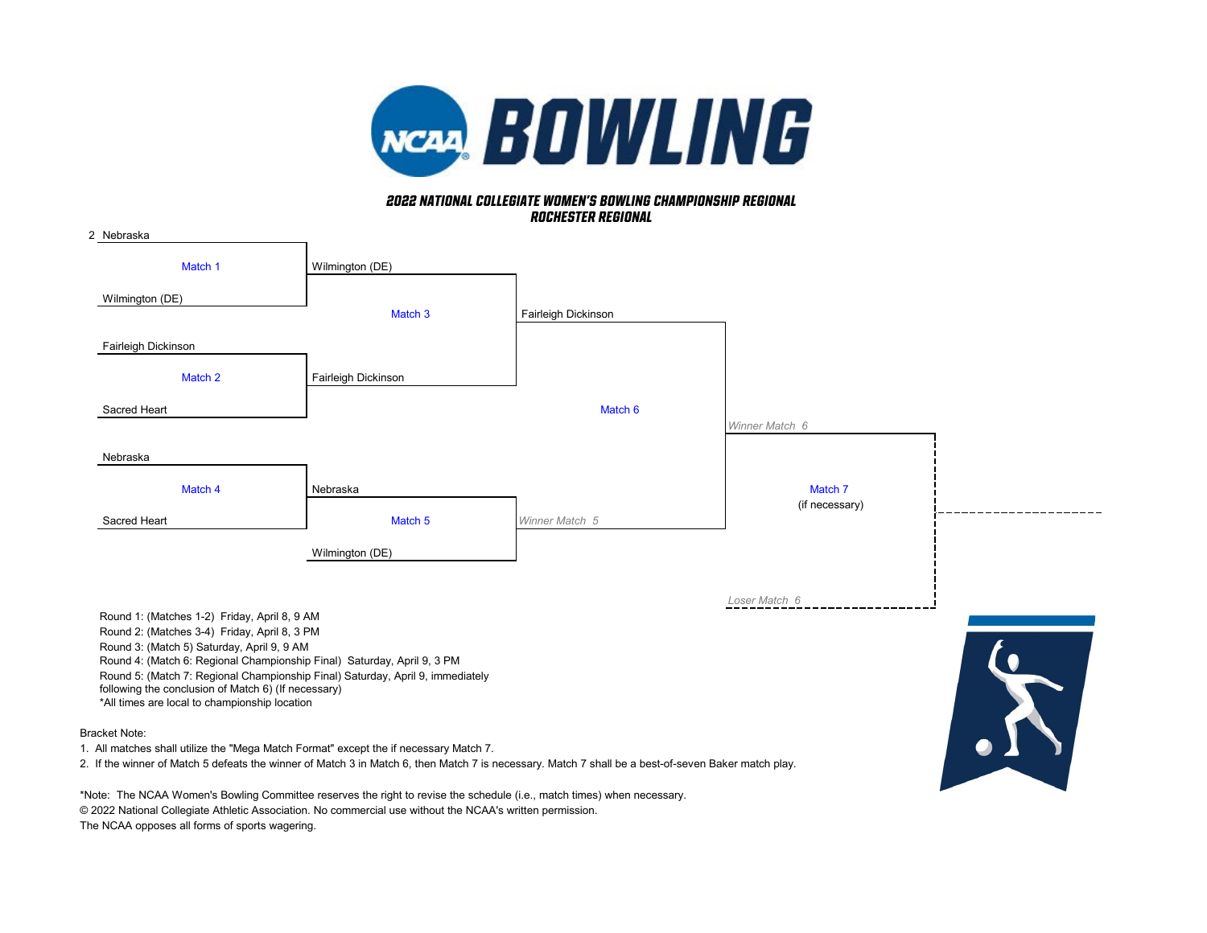

# *rochester regional 2022 NATIONAL COLLEGIATE WOMEN'S BOWLING CHAMPIONSHIP REGIONAL*

| 2 Nebraska                                                                                                                                                                                                                                                        |                     |                     |                           |           |
|-------------------------------------------------------------------------------------------------------------------------------------------------------------------------------------------------------------------------------------------------------------------|---------------------|---------------------|---------------------------|-----------|
| Match 1                                                                                                                                                                                                                                                           | Wilmington (DE)     |                     |                           |           |
| Wilmington (DE)                                                                                                                                                                                                                                                   | Match <sub>3</sub>  | Fairleigh Dickinson |                           |           |
| Fairleigh Dickinson                                                                                                                                                                                                                                               |                     |                     |                           |           |
| Match 2                                                                                                                                                                                                                                                           | Fairleigh Dickinson |                     |                           |           |
| Sacred Heart                                                                                                                                                                                                                                                      |                     | Match 6             | Winner Match 6            |           |
| Nebraska                                                                                                                                                                                                                                                          |                     |                     |                           |           |
| Match 4                                                                                                                                                                                                                                                           | Nebraska            |                     | Match 7<br>(if necessary) |           |
| Sacred Heart                                                                                                                                                                                                                                                      | Match 5             | Winner Match 5      |                           |           |
|                                                                                                                                                                                                                                                                   | Wilmington (DE)     |                     |                           |           |
| Round 1: (Matches 1-2) Friday, April 8, 9 AM<br>Round 2: (Matches 3-4) Friday, April 8, 3 PM<br>Round 3: (Match 5) Saturday, April 9, 9 AM                                                                                                                        |                     |                     | Loser Match 6             |           |
| Round 4: (Match 6: Regional Championship Final) Saturday, April 9, 3 PM<br>Round 5: (Match 7: Regional Championship Final) Saturday, April 9, immediately<br>following the conclusion of Match 6) (If necessary)<br>*All times are local to championship location |                     |                     |                           | $\bullet$ |

Bracket Note:

1. All matches shall utilize the "Mega Match Format" except the if necessary Match 7.

2. If the winner of Match 5 defeats the winner of Match 3 in Match 6, then Match 7 is necessary. Match 7 shall be a best-of-seven Baker match play.

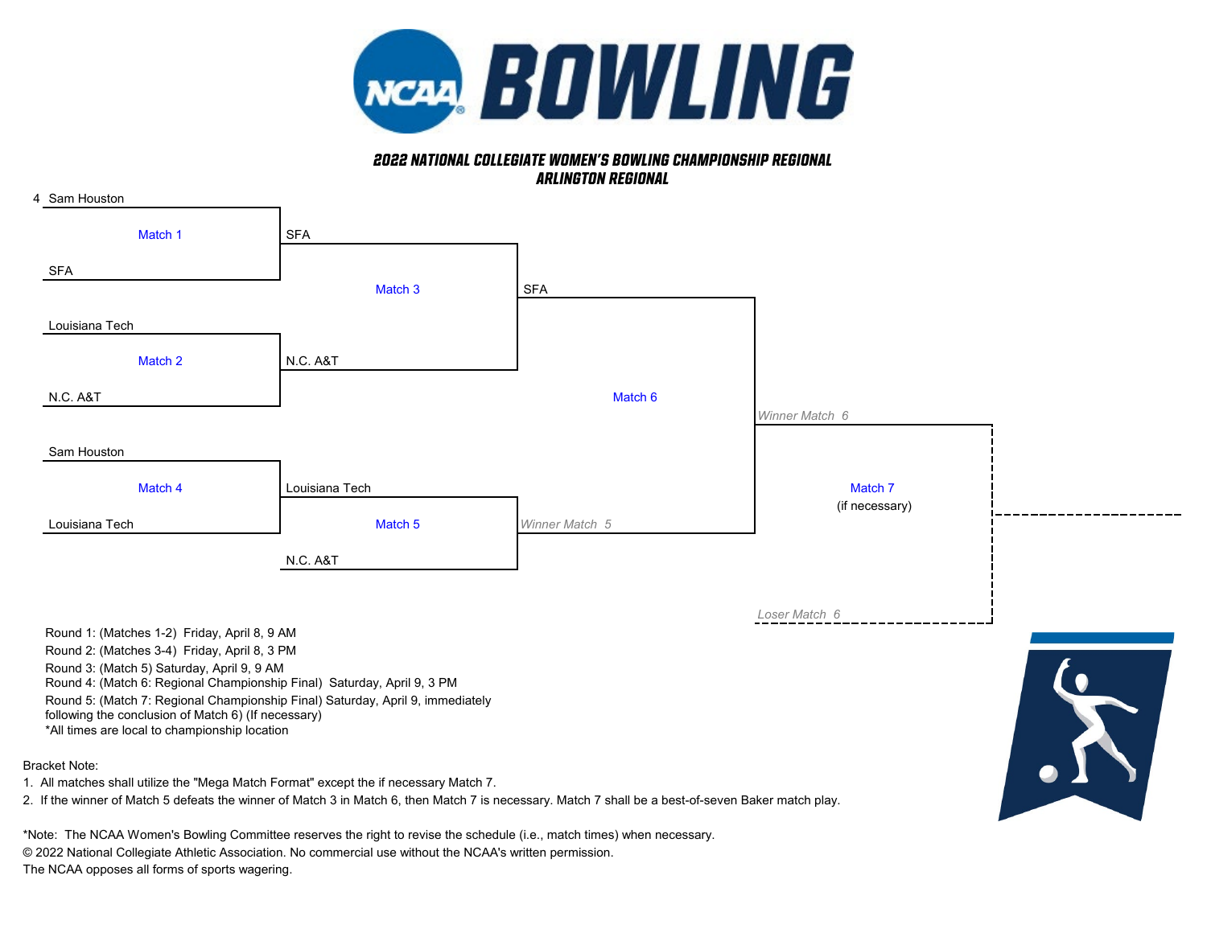

# *2022 NATIONAL COLLEGIATE WOMEN'S BOWLING CHAMPIONSHIP REGIONAL Arlington Regional*



#### Bracket Note:

1. All matches shall utilize the "Mega Match Format" except the if necessary Match 7.

2. If the winner of Match 5 defeats the winner of Match 3 in Match 6, then Match 7 is necessary. Match 7 shall be a best-of-seven Baker match play.

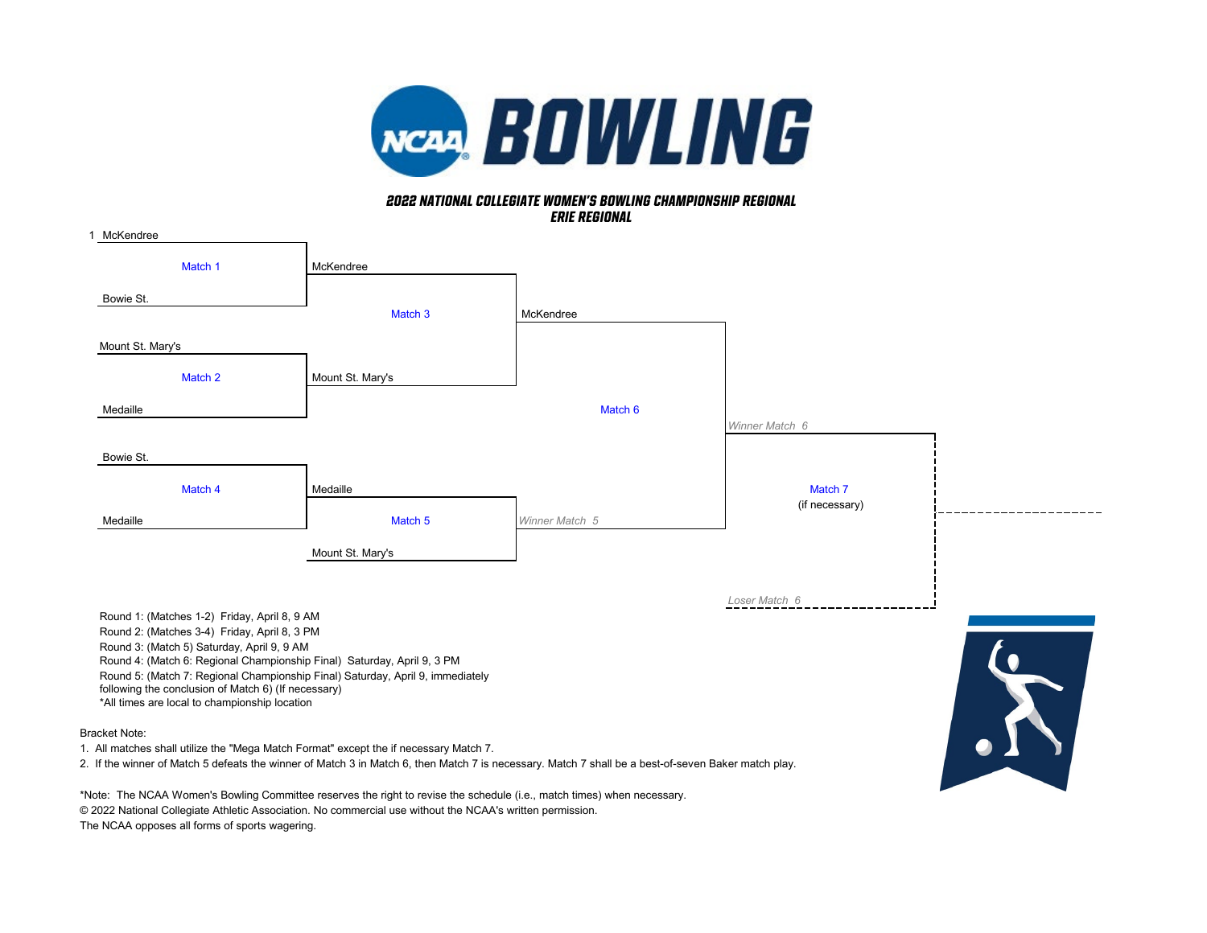

### *erie Regional 2022 NATIONAL COLLEGIATE WOMEN'S BOWLING CHAMPIONSHIP REGIONAL*

| McKendree                                                                                                                                                                                                                                                                                                       |                  |                |                           |                |
|-----------------------------------------------------------------------------------------------------------------------------------------------------------------------------------------------------------------------------------------------------------------------------------------------------------------|------------------|----------------|---------------------------|----------------|
| Match 1                                                                                                                                                                                                                                                                                                         | McKendree        |                |                           |                |
| Bowie St.                                                                                                                                                                                                                                                                                                       | Match 3          | McKendree      |                           |                |
| Mount St. Mary's                                                                                                                                                                                                                                                                                                |                  |                |                           |                |
| Match 2                                                                                                                                                                                                                                                                                                         | Mount St. Mary's |                |                           |                |
| Medaille                                                                                                                                                                                                                                                                                                        |                  | Match 6        |                           |                |
| Bowie St.                                                                                                                                                                                                                                                                                                       |                  |                | Winner Match 6            |                |
| Match 4                                                                                                                                                                                                                                                                                                         | Medaille         |                | Match 7<br>(if necessary) |                |
| Medaille                                                                                                                                                                                                                                                                                                        | Match 5          | Winner Match 5 |                           |                |
|                                                                                                                                                                                                                                                                                                                 | Mount St. Mary's |                |                           |                |
| Round 1: (Matches 1-2) Friday, April 8, 9 AM<br>Round 2: (Matches 3-4) Friday, April 8, 3 PM                                                                                                                                                                                                                    |                  |                | Loser Match 6             |                |
| Round 3: (Match 5) Saturday, April 9, 9 AM<br>Round 4: (Match 6: Regional Championship Final) Saturday, April 9, 3 PM<br>Round 5: (Match 7: Regional Championship Final) Saturday, April 9, immediately<br>following the conclusion of Match 6) (If necessary)<br>*All times are local to championship location |                  |                |                           | $\mathfrak{b}$ |

Bracket Note:

1. All matches shall utilize the "Mega Match Format" except the if necessary Match 7.

2. If the winner of Match 5 defeats the winner of Match 3 in Match 6, then Match 7 is necessary. Match 7 shall be a best-of-seven Baker match play.